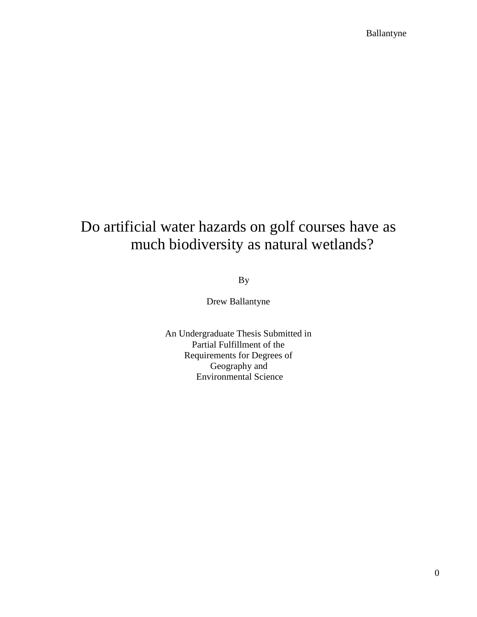# Do artificial water hazards on golf courses have as much biodiversity as natural wetlands?

By

Drew Ballantyne

An Undergraduate Thesis Submitted in Partial Fulfillment of the Requirements for Degrees of Geography and Environmental Science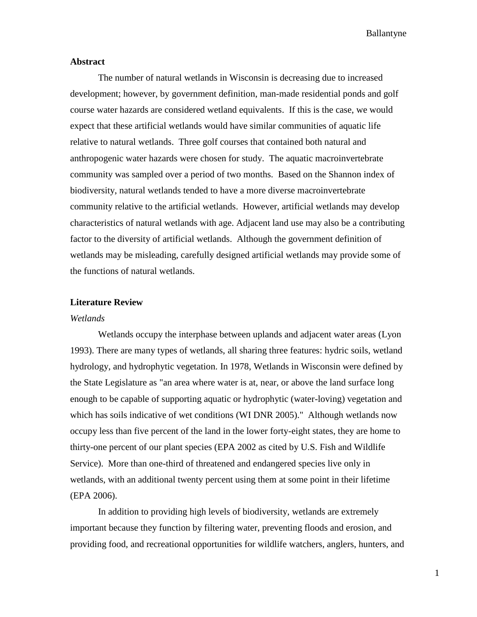#### **Abstract**

The number of natural wetlands in Wisconsin is decreasing due to increased development; however, by government definition, man-made residential ponds and golf course water hazards are considered wetland equivalents. If this is the case, we would expect that these artificial wetlands would have similar communities of aquatic life relative to natural wetlands. Three golf courses that contained both natural and anthropogenic water hazards were chosen for study. The aquatic macroinvertebrate community was sampled over a period of two months. Based on the Shannon index of biodiversity, natural wetlands tended to have a more diverse macroinvertebrate community relative to the artificial wetlands. However, artificial wetlands may develop characteristics of natural wetlands with age. Adjacent land use may also be a contributing factor to the diversity of artificial wetlands. Although the government definition of wetlands may be misleading, carefully designed artificial wetlands may provide some of the functions of natural wetlands.

#### **Literature Review**

#### *Wetlands*

Wetlands occupy the interphase between uplands and adjacent water areas (Lyon 1993). There are many types of wetlands, all sharing three features: hydric soils, wetland hydrology, and hydrophytic vegetation. In 1978, Wetlands in Wisconsin were defined by the State Legislature as "an area where water is at, near, or above the land surface long enough to be capable of supporting aquatic or hydrophytic (water-loving) vegetation and which has soils indicative of wet conditions (WI DNR 2005)." Although wetlands now occupy less than five percent of the land in the lower forty-eight states, they are home to thirty-one percent of our plant species (EPA 2002 as cited by U.S. Fish and Wildlife Service). More than one-third of threatened and endangered species live only in wetlands, with an additional twenty percent using them at some point in their lifetime (EPA 2006).

In addition to providing high levels of biodiversity, wetlands are extremely important because they function by filtering water, preventing floods and erosion, and providing food, and recreational opportunities for wildlife watchers, anglers, hunters, and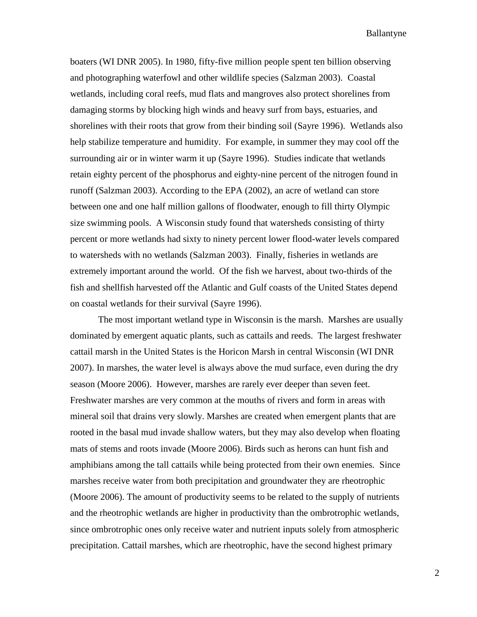boaters (WI DNR 2005). In 1980, fifty-five million people spent ten billion observing and photographing waterfowl and other wildlife species (Salzman 2003). Coastal wetlands, including coral reefs, mud flats and mangroves also protect shorelines from damaging storms by blocking high winds and heavy surf from bays, estuaries, and shorelines with their roots that grow from their binding soil (Sayre 1996). Wetlands also help stabilize temperature and humidity. For example, in summer they may cool off the surrounding air or in winter warm it up (Sayre 1996). Studies indicate that wetlands retain eighty percent of the phosphorus and eighty-nine percent of the nitrogen found in runoff (Salzman 2003). According to the EPA (2002), an acre of wetland can store between one and one half million gallons of floodwater, enough to fill thirty Olympic size swimming pools. A Wisconsin study found that watersheds consisting of thirty percent or more wetlands had sixty to ninety percent lower flood-water levels compared to watersheds with no wetlands (Salzman 2003). Finally, fisheries in wetlands are extremely important around the world. Of the fish we harvest, about two-thirds of the fish and shellfish harvested off the Atlantic and Gulf coasts of the United States depend on coastal wetlands for their survival (Sayre 1996).

The most important wetland type in Wisconsin is the marsh. Marshes are usually dominated by emergent aquatic plants, such as cattails and reeds. The largest freshwater cattail marsh in the United States is the Horicon Marsh in central Wisconsin (WI DNR 2007). In marshes, the water level is always above the mud surface, even during the dry season (Moore 2006). However, marshes are rarely ever deeper than seven feet. Freshwater marshes are very common at the mouths of rivers and form in areas with mineral soil that drains very slowly. Marshes are created when emergent plants that are rooted in the basal mud invade shallow waters, but they may also develop when floating mats of stems and roots invade (Moore 2006). Birds such as herons can hunt fish and amphibians among the tall cattails while being protected from their own enemies. Since marshes receive water from both precipitation and groundwater they are rheotrophic (Moore 2006). The amount of productivity seems to be related to the supply of nutrients and the rheotrophic wetlands are higher in productivity than the ombrotrophic wetlands, since ombrotrophic ones only receive water and nutrient inputs solely from atmospheric precipitation. Cattail marshes, which are rheotrophic, have the second highest primary

2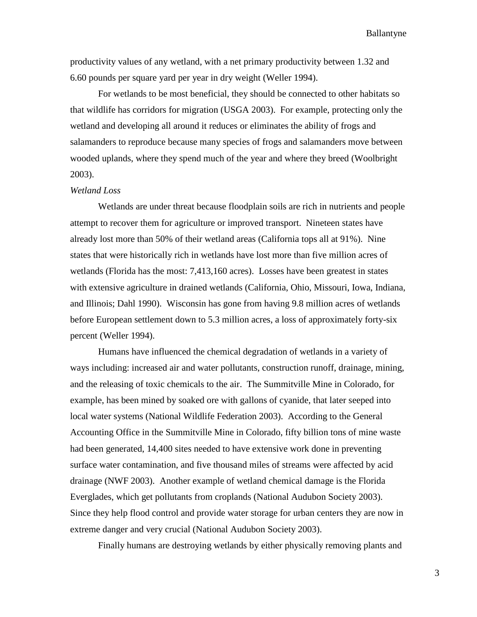productivity values of any wetland, with a net primary productivity between 1.32 and 6.60 pounds per square yard per year in dry weight (Weller 1994).

For wetlands to be most beneficial, they should be connected to other habitats so that wildlife has corridors for migration (USGA 2003). For example, protecting only the wetland and developing all around it reduces or eliminates the ability of frogs and salamanders to reproduce because many species of frogs and salamanders move between wooded uplands, where they spend much of the year and where they breed (Woolbright 2003).

#### *Wetland Loss*

Wetlands are under threat because floodplain soils are rich in nutrients and people attempt to recover them for agriculture or improved transport. Nineteen states have already lost more than 50% of their wetland areas (California tops all at 91%). Nine states that were historically rich in wetlands have lost more than five million acres of wetlands (Florida has the most: 7,413,160 acres). Losses have been greatest in states with extensive agriculture in drained wetlands (California, Ohio, Missouri, Iowa, Indiana, and Illinois; Dahl 1990). Wisconsin has gone from having 9.8 million acres of wetlands before European settlement down to 5.3 million acres, a loss of approximately forty-six percent (Weller 1994).

Humans have influenced the chemical degradation of wetlands in a variety of ways including: increased air and water pollutants, construction runoff, drainage, mining, and the releasing of toxic chemicals to the air. The Summitville Mine in Colorado, for example, has been mined by soaked ore with gallons of cyanide, that later seeped into local water systems (National Wildlife Federation 2003). According to the General Accounting Office in the Summitville Mine in Colorado, fifty billion tons of mine waste had been generated, 14,400 sites needed to have extensive work done in preventing surface water contamination, and five thousand miles of streams were affected by acid drainage (NWF 2003). Another example of wetland chemical damage is the Florida Everglades, which get pollutants from croplands (National Audubon Society 2003). Since they help flood control and provide water storage for urban centers they are now in extreme danger and very crucial (National Audubon Society 2003).

Finally humans are destroying wetlands by either physically removing plants and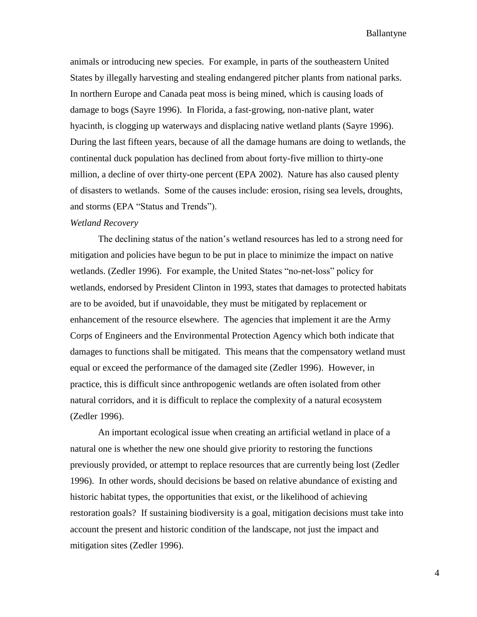animals or introducing new species. For example, in parts of the southeastern United States by illegally harvesting and stealing endangered pitcher plants from national parks. In northern Europe and Canada peat moss is being mined, which is causing loads of damage to bogs (Sayre 1996). In Florida, a fast-growing, non-native plant, water hyacinth, is clogging up waterways and displacing native wetland plants (Sayre 1996). During the last fifteen years, because of all the damage humans are doing to wetlands, the continental duck population has declined from about forty-five million to thirty-one million, a decline of over thirty-one percent (EPA 2002). Nature has also caused plenty of disasters to wetlands. Some of the causes include: erosion, rising sea levels, droughts, and storms (EPA "Status and Trends").

#### *Wetland Recovery*

The declining status of the nation's wetland resources has led to a strong need for mitigation and policies have begun to be put in place to minimize the impact on native wetlands. (Zedler 1996). For example, the United States "no-net-loss" policy for wetlands, endorsed by President Clinton in 1993, states that damages to protected habitats are to be avoided, but if unavoidable, they must be mitigated by replacement or enhancement of the resource elsewhere. The agencies that implement it are the Army Corps of Engineers and the Environmental Protection Agency which both indicate that damages to functions shall be mitigated. This means that the compensatory wetland must equal or exceed the performance of the damaged site (Zedler 1996). However, in practice, this is difficult since anthropogenic wetlands are often isolated from other natural corridors, and it is difficult to replace the complexity of a natural ecosystem (Zedler 1996).

An important ecological issue when creating an artificial wetland in place of a natural one is whether the new one should give priority to restoring the functions previously provided, or attempt to replace resources that are currently being lost (Zedler 1996). In other words, should decisions be based on relative abundance of existing and historic habitat types, the opportunities that exist, or the likelihood of achieving restoration goals? If sustaining biodiversity is a goal, mitigation decisions must take into account the present and historic condition of the landscape, not just the impact and mitigation sites (Zedler 1996).

4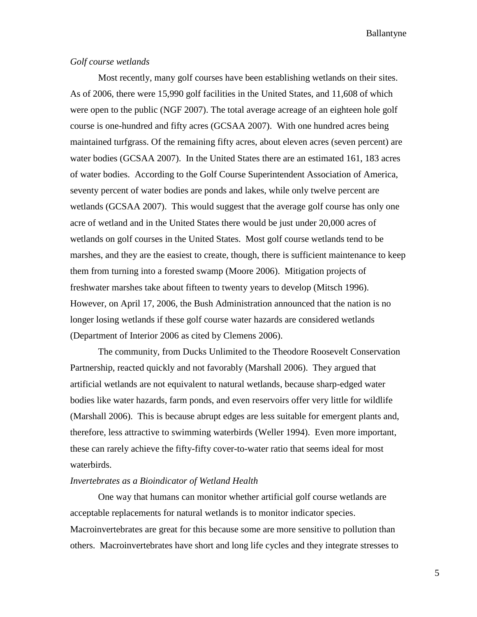#### *Golf course wetlands*

Most recently, many golf courses have been establishing wetlands on their sites. As of 2006, there were 15,990 golf facilities in the United States, and 11,608 of which were open to the public (NGF 2007). The total average acreage of an eighteen hole golf course is one-hundred and fifty acres (GCSAA 2007). With one hundred acres being maintained turfgrass. Of the remaining fifty acres, about eleven acres (seven percent) are water bodies (GCSAA 2007). In the United States there are an estimated 161, 183 acres of water bodies. According to the Golf Course Superintendent Association of America, seventy percent of water bodies are ponds and lakes, while only twelve percent are wetlands (GCSAA 2007). This would suggest that the average golf course has only one acre of wetland and in the United States there would be just under 20,000 acres of wetlands on golf courses in the United States. Most golf course wetlands tend to be marshes, and they are the easiest to create, though, there is sufficient maintenance to keep them from turning into a forested swamp (Moore 2006). Mitigation projects of freshwater marshes take about fifteen to twenty years to develop (Mitsch 1996). However, on April 17, 2006, the Bush Administration announced that the nation is no longer losing wetlands if these golf course water hazards are considered wetlands (Department of Interior 2006 as cited by Clemens 2006).

The community, from Ducks Unlimited to the Theodore Roosevelt Conservation Partnership, reacted quickly and not favorably (Marshall 2006). They argued that artificial wetlands are not equivalent to natural wetlands, because sharp-edged water bodies like water hazards, farm ponds, and even reservoirs offer very little for wildlife (Marshall 2006). This is because abrupt edges are less suitable for emergent plants and, therefore, less attractive to swimming waterbirds (Weller 1994). Even more important, these can rarely achieve the fifty-fifty cover-to-water ratio that seems ideal for most waterbirds.

#### *Invertebrates as a Bioindicator of Wetland Health*

One way that humans can monitor whether artificial golf course wetlands are acceptable replacements for natural wetlands is to monitor indicator species. Macroinvertebrates are great for this because some are more sensitive to pollution than others. Macroinvertebrates have short and long life cycles and they integrate stresses to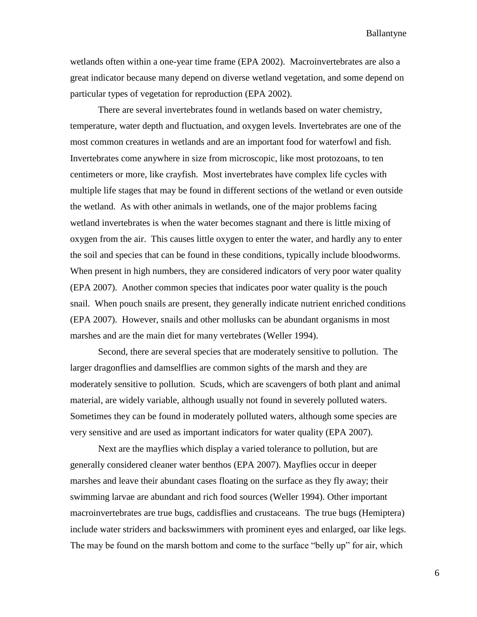wetlands often within a one-year time frame (EPA 2002). Macroinvertebrates are also a great indicator because many depend on diverse wetland vegetation, and some depend on particular types of vegetation for reproduction (EPA 2002).

There are several invertebrates found in wetlands based on water chemistry, temperature, water depth and fluctuation, and oxygen levels. Invertebrates are one of the most common creatures in wetlands and are an important food for waterfowl and fish. Invertebrates come anywhere in size from microscopic, like most protozoans, to ten centimeters or more, like crayfish. Most invertebrates have complex life cycles with multiple life stages that may be found in different sections of the wetland or even outside the wetland. As with other animals in wetlands, one of the major problems facing wetland invertebrates is when the water becomes stagnant and there is little mixing of oxygen from the air. This causes little oxygen to enter the water, and hardly any to enter the soil and species that can be found in these conditions, typically include bloodworms. When present in high numbers, they are considered indicators of very poor water quality (EPA 2007). Another common species that indicates poor water quality is the pouch snail. When pouch snails are present, they generally indicate nutrient enriched conditions (EPA 2007). However, snails and other mollusks can be abundant organisms in most marshes and are the main diet for many vertebrates (Weller 1994).

Second, there are several species that are moderately sensitive to pollution. The larger dragonflies and damselflies are common sights of the marsh and they are moderately sensitive to pollution. Scuds, which are scavengers of both plant and animal material, are widely variable, although usually not found in severely polluted waters. Sometimes they can be found in moderately polluted waters, although some species are very sensitive and are used as important indicators for water quality (EPA 2007).

Next are the mayflies which display a varied tolerance to pollution, but are generally considered cleaner water benthos (EPA 2007). Mayflies occur in deeper marshes and leave their abundant cases floating on the surface as they fly away; their swimming larvae are abundant and rich food sources (Weller 1994). Other important macroinvertebrates are true bugs, caddisflies and crustaceans. The true bugs (Hemiptera) include water striders and backswimmers with prominent eyes and enlarged, oar like legs. The may be found on the marsh bottom and come to the surface "belly up" for air, which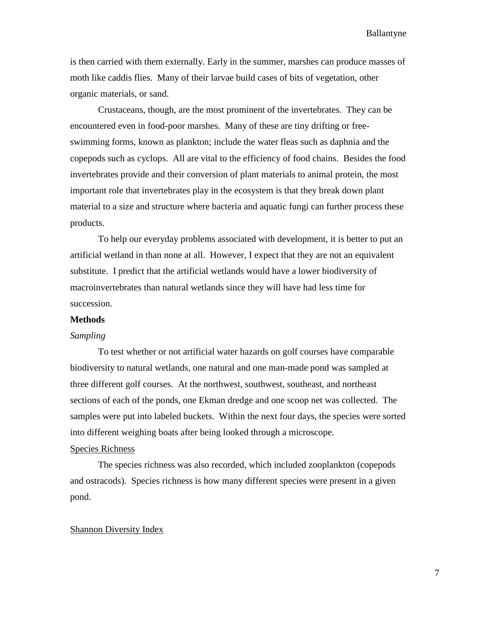is then carried with them externally. Early in the summer, marshes can produce masses of moth like caddis flies. Many of their larvae build cases of bits of vegetation, other organic materials, or sand.

Crustaceans, though, are the most prominent of the invertebrates. They can be encountered even in food-poor marshes. Many of these are tiny drifting or freeswimming forms, known as plankton; include the water fleas such as daphnia and the copepods such as cyclops. All are vital to the efficiency of food chains. Besides the food invertebrates provide and their conversion of plant materials to animal protein, the most important role that invertebrates play in the ecosystem is that they break down plant material to a size and structure where bacteria and aquatic fungi can further process these products.

To help our everyday problems associated with development, it is better to put an artificial wetland in than none at all. However, I expect that they are not an equivalent substitute. I predict that the artificial wetlands would have a lower biodiversity of macroinvertebrates than natural wetlands since they will have had less time for succession.

#### **Methods**

#### *Sampling*

To test whether or not artificial water hazards on golf courses have comparable biodiversity to natural wetlands, one natural and one man-made pond was sampled at three different golf courses. At the northwest, southwest, southeast, and northeast sections of each of the ponds, one Ekman dredge and one scoop net was collected. The samples were put into labeled buckets. Within the next four days, the species were sorted into different weighing boats after being looked through a microscope.

#### Species Richness

The species richness was also recorded, which included zooplankton (copepods and ostracods). Species richness is how many different species were present in a given pond.

#### Shannon Diversity Index

7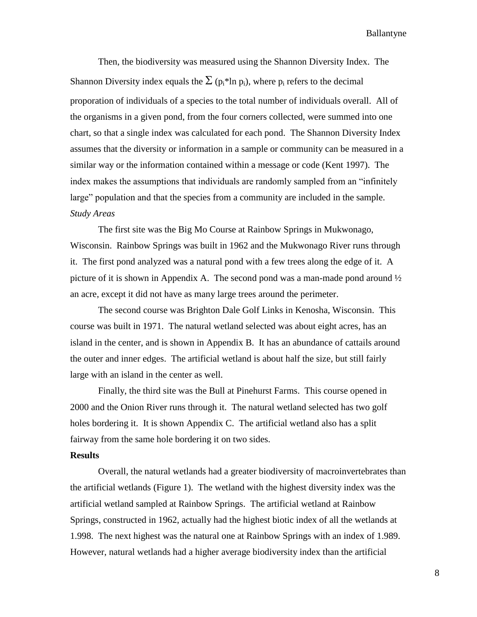Then, the biodiversity was measured using the Shannon Diversity Index. The Shannon Diversity index equals the  $\Sigma$  (p<sub>i</sub>\*ln p<sub>i</sub>), where p<sub>i</sub> refers to the decimal proporation of individuals of a species to the total number of individuals overall. All of the organisms in a given pond, from the four corners collected, were summed into one chart, so that a single index was calculated for each pond. The Shannon Diversity Index assumes that the diversity or information in a sample or community can be measured in a similar way or the information contained within a message or code (Kent 1997). The index makes the assumptions that individuals are randomly sampled from an "infinitely large" population and that the species from a community are included in the sample. *Study Areas*

The first site was the Big Mo Course at Rainbow Springs in Mukwonago, Wisconsin. Rainbow Springs was built in 1962 and the Mukwonago River runs through it. The first pond analyzed was a natural pond with a few trees along the edge of it. A picture of it is shown in Appendix A. The second pond was a man-made pond around  $\frac{1}{2}$ an acre, except it did not have as many large trees around the perimeter.

The second course was Brighton Dale Golf Links in Kenosha, Wisconsin. This course was built in 1971. The natural wetland selected was about eight acres, has an island in the center, and is shown in Appendix B. It has an abundance of cattails around the outer and inner edges. The artificial wetland is about half the size, but still fairly large with an island in the center as well.

Finally, the third site was the Bull at Pinehurst Farms. This course opened in 2000 and the Onion River runs through it. The natural wetland selected has two golf holes bordering it. It is shown Appendix C. The artificial wetland also has a split fairway from the same hole bordering it on two sides.

#### **Results**

Overall, the natural wetlands had a greater biodiversity of macroinvertebrates than the artificial wetlands (Figure 1). The wetland with the highest diversity index was the artificial wetland sampled at Rainbow Springs. The artificial wetland at Rainbow Springs, constructed in 1962, actually had the highest biotic index of all the wetlands at 1.998. The next highest was the natural one at Rainbow Springs with an index of 1.989. However, natural wetlands had a higher average biodiversity index than the artificial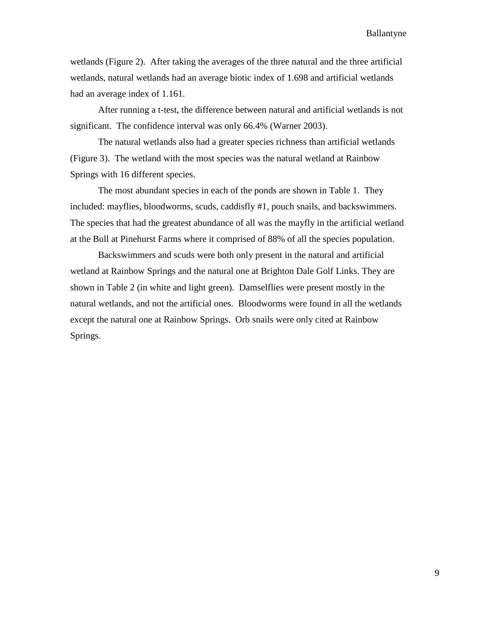wetlands (Figure 2). After taking the averages of the three natural and the three artificial wetlands, natural wetlands had an average biotic index of 1.698 and artificial wetlands had an average index of 1.161.

After running a t-test, the difference between natural and artificial wetlands is not significant. The confidence interval was only 66.4% (Warner 2003).

The natural wetlands also had a greater species richness than artificial wetlands (Figure 3). The wetland with the most species was the natural wetland at Rainbow Springs with 16 different species.

The most abundant species in each of the ponds are shown in Table 1. They included: mayflies, bloodworms, scuds, caddisfly #1, pouch snails, and backswimmers. The species that had the greatest abundance of all was the mayfly in the artificial wetland at the Bull at Pinehurst Farms where it comprised of 88% of all the species population.

Backswimmers and scuds were both only present in the natural and artificial wetland at Rainbow Springs and the natural one at Brighton Dale Golf Links. They are shown in Table 2 (in white and light green). Damselflies were present mostly in the natural wetlands, and not the artificial ones. Bloodworms were found in all the wetlands except the natural one at Rainbow Springs. Orb snails were only cited at Rainbow Springs.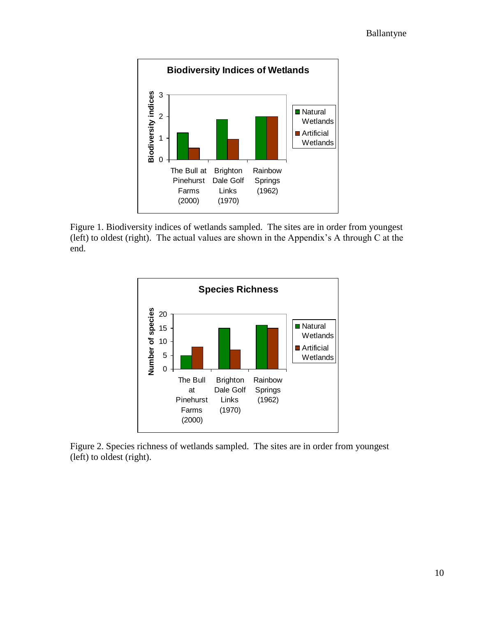

Figure 1. Biodiversity indices of wetlands sampled. The sites are in order from youngest (left) to oldest (right). The actual values are shown in the Appendix's A through C at the end.



Figure 2. Species richness of wetlands sampled. The sites are in order from youngest (left) to oldest (right).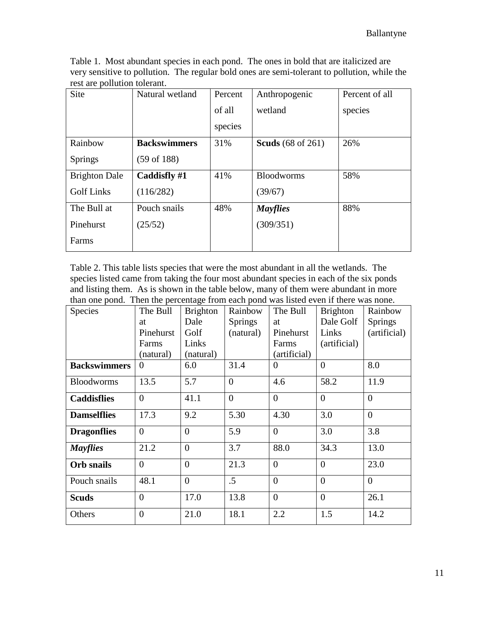Table 1. Most abundant species in each pond. The ones in bold that are italicized are very sensitive to pollution. The regular bold ones are semi-tolerant to pollution, while the rest are pollution tolerant.

| Site                 | Natural wetland        | Percent | Anthropogenic            | Percent of all |
|----------------------|------------------------|---------|--------------------------|----------------|
|                      |                        | of all  | wetland                  | species        |
|                      |                        | species |                          |                |
| Rainbow              | <b>Backswimmers</b>    | 31%     | <b>Scuds</b> (68 of 261) | 26%            |
| <b>Springs</b>       | $(59 \text{ of } 188)$ |         |                          |                |
| <b>Brighton Dale</b> | Caddisfly #1           | 41%     | <b>Bloodworms</b>        | 58%            |
| <b>Golf Links</b>    | (116/282)              |         | (39/67)                  |                |
| The Bull at          | Pouch snails           | 48%     | <b>Mayflies</b>          | 88%            |
| Pinehurst            | (25/52)                |         | (309/351)                |                |
| Farms                |                        |         |                          |                |

Table 2. This table lists species that were the most abundant in all the wetlands. The species listed came from taking the four most abundant species in each of the six ponds and listing them. As is shown in the table below, many of them were abundant in more than one pond. Then the percentage from each pond was listed even if there was none.

| Species             | The Bull       | <b>Brighton</b> | Rainbow        | The Bull       | <b>Brighton</b> | Rainbow        |
|---------------------|----------------|-----------------|----------------|----------------|-----------------|----------------|
|                     | at             | Dale            | <b>Springs</b> | at             | Dale Golf       | <b>Springs</b> |
|                     | Pinehurst      | Golf            | (natural)      | Pinehurst      | Links           | (artificial)   |
|                     | Farms          | Links           |                | Farms          | (artificial)    |                |
|                     | (natural)      | (natural)       |                | (artificial)   |                 |                |
| <b>Backswimmers</b> | $\theta$       | 6.0             | 31.4           | $\Omega$       | $\Omega$        | 8.0            |
| <b>Bloodworms</b>   | 13.5           | 5.7             | $\overline{0}$ | 4.6            | 58.2            | 11.9           |
| <b>Caddisflies</b>  | $\theta$       | 41.1            | $\overline{0}$ | $\Omega$       | $\theta$        | $\overline{0}$ |
| <b>Damselflies</b>  | 17.3           | 9.2             | 5.30           | 4.30           | 3.0             | $\overline{0}$ |
| <b>Dragonflies</b>  | $\overline{0}$ | $\overline{0}$  | 5.9            | $\Omega$       | 3.0             | 3.8            |
| <b>Mayflies</b>     | 21.2           | $\overline{0}$  | 3.7            | 88.0           | 34.3            | 13.0           |
| <b>Orb</b> snails   | $\overline{0}$ | $\overline{0}$  | 21.3           | $\theta$       | $\theta$        | 23.0           |
| Pouch snails        | 48.1           | $\overline{0}$  | $.5\,$         | $\overline{0}$ | $\overline{0}$  | $\overline{0}$ |
| <b>Scuds</b>        | $\overline{0}$ | 17.0            | 13.8           | $\overline{0}$ | $\overline{0}$  | 26.1           |
| Others              | $\overline{0}$ | 21.0            | 18.1           | 2.2            | 1.5             | 14.2           |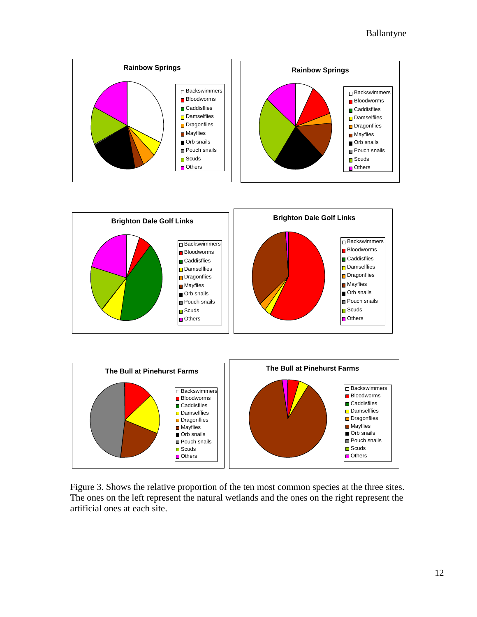





Figure 3. Shows the relative proportion of the ten most common species at the three sites. The ones on the left represent the natural wetlands and the ones on the right represent the artificial ones at each site.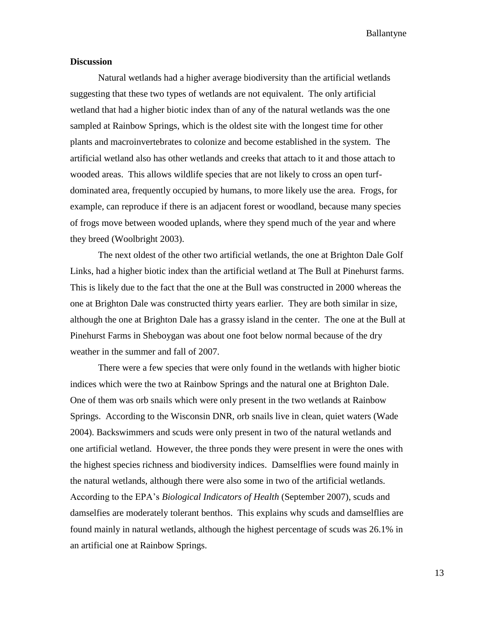#### **Discussion**

Natural wetlands had a higher average biodiversity than the artificial wetlands suggesting that these two types of wetlands are not equivalent. The only artificial wetland that had a higher biotic index than of any of the natural wetlands was the one sampled at Rainbow Springs, which is the oldest site with the longest time for other plants and macroinvertebrates to colonize and become established in the system. The artificial wetland also has other wetlands and creeks that attach to it and those attach to wooded areas. This allows wildlife species that are not likely to cross an open turfdominated area, frequently occupied by humans, to more likely use the area. Frogs, for example, can reproduce if there is an adjacent forest or woodland, because many species of frogs move between wooded uplands, where they spend much of the year and where they breed (Woolbright 2003).

The next oldest of the other two artificial wetlands, the one at Brighton Dale Golf Links, had a higher biotic index than the artificial wetland at The Bull at Pinehurst farms. This is likely due to the fact that the one at the Bull was constructed in 2000 whereas the one at Brighton Dale was constructed thirty years earlier. They are both similar in size, although the one at Brighton Dale has a grassy island in the center. The one at the Bull at Pinehurst Farms in Sheboygan was about one foot below normal because of the dry weather in the summer and fall of 2007.

There were a few species that were only found in the wetlands with higher biotic indices which were the two at Rainbow Springs and the natural one at Brighton Dale. One of them was orb snails which were only present in the two wetlands at Rainbow Springs. According to the Wisconsin DNR, orb snails live in clean, quiet waters (Wade 2004). Backswimmers and scuds were only present in two of the natural wetlands and one artificial wetland. However, the three ponds they were present in were the ones with the highest species richness and biodiversity indices. Damselflies were found mainly in the natural wetlands, although there were also some in two of the artificial wetlands. According to the EPA's *Biological Indicators of Health* (September 2007), scuds and damselfies are moderately tolerant benthos. This explains why scuds and damselflies are found mainly in natural wetlands, although the highest percentage of scuds was 26.1% in an artificial one at Rainbow Springs.

13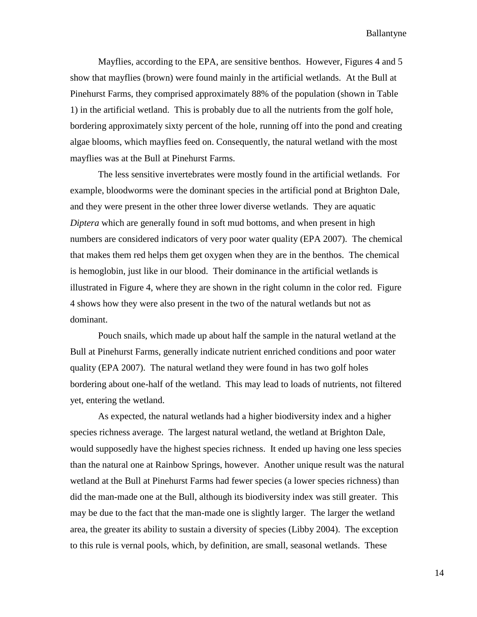Mayflies, according to the EPA, are sensitive benthos. However, Figures 4 and 5 show that mayflies (brown) were found mainly in the artificial wetlands. At the Bull at Pinehurst Farms, they comprised approximately 88% of the population (shown in Table 1) in the artificial wetland. This is probably due to all the nutrients from the golf hole, bordering approximately sixty percent of the hole, running off into the pond and creating algae blooms, which mayflies feed on. Consequently, the natural wetland with the most mayflies was at the Bull at Pinehurst Farms.

The less sensitive invertebrates were mostly found in the artificial wetlands. For example, bloodworms were the dominant species in the artificial pond at Brighton Dale, and they were present in the other three lower diverse wetlands. They are aquatic *Diptera* which are generally found in soft mud bottoms, and when present in high numbers are considered indicators of very poor water quality (EPA 2007). The chemical that makes them red helps them get oxygen when they are in the benthos. The chemical is hemoglobin, just like in our blood. Their dominance in the artificial wetlands is illustrated in Figure 4, where they are shown in the right column in the color red. Figure 4 shows how they were also present in the two of the natural wetlands but not as dominant.

Pouch snails, which made up about half the sample in the natural wetland at the Bull at Pinehurst Farms, generally indicate nutrient enriched conditions and poor water quality (EPA 2007). The natural wetland they were found in has two golf holes bordering about one-half of the wetland. This may lead to loads of nutrients, not filtered yet, entering the wetland.

As expected, the natural wetlands had a higher biodiversity index and a higher species richness average. The largest natural wetland, the wetland at Brighton Dale, would supposedly have the highest species richness. It ended up having one less species than the natural one at Rainbow Springs, however. Another unique result was the natural wetland at the Bull at Pinehurst Farms had fewer species (a lower species richness) than did the man-made one at the Bull, although its biodiversity index was still greater. This may be due to the fact that the man-made one is slightly larger. The larger the wetland area, the greater its ability to sustain a diversity of species (Libby 2004). The exception to this rule is vernal pools, which, by definition, are small, seasonal wetlands. These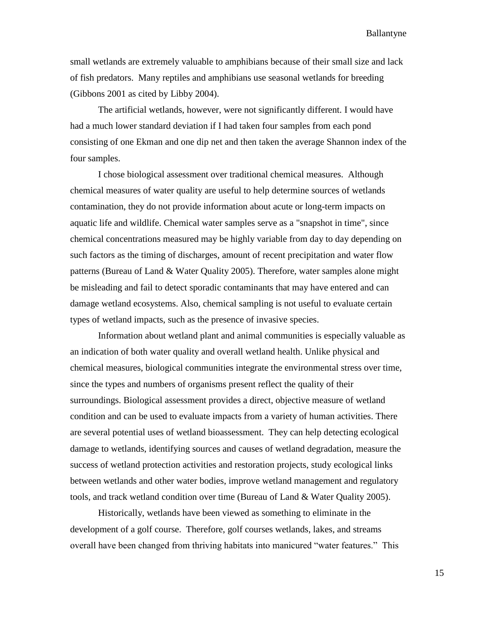small wetlands are extremely valuable to amphibians because of their small size and lack of fish predators. Many reptiles and amphibians use seasonal wetlands for breeding (Gibbons 2001 as cited by Libby 2004).

The artificial wetlands, however, were not significantly different. I would have had a much lower standard deviation if I had taken four samples from each pond consisting of one Ekman and one dip net and then taken the average Shannon index of the four samples.

I chose biological assessment over traditional chemical measures. Although chemical measures of water quality are useful to help determine sources of wetlands contamination, they do not provide information about acute or long-term impacts on aquatic life and wildlife. Chemical water samples serve as a "snapshot in time", since chemical concentrations measured may be highly variable from day to day depending on such factors as the timing of discharges, amount of recent precipitation and water flow patterns (Bureau of Land & Water Quality 2005). Therefore, water samples alone might be misleading and fail to detect sporadic contaminants that may have entered and can damage wetland ecosystems. Also, chemical sampling is not useful to evaluate certain types of wetland impacts, such as the presence of invasive species.

Information about wetland plant and animal communities is especially valuable as an indication of both water quality and overall wetland health. Unlike physical and chemical measures, biological communities integrate the environmental stress over time, since the types and numbers of organisms present reflect the quality of their surroundings. Biological assessment provides a direct, objective measure of wetland condition and can be used to evaluate impacts from a variety of human activities. There are several potential uses of wetland bioassessment. They can help detecting ecological damage to wetlands, identifying sources and causes of wetland degradation, measure the success of wetland protection activities and restoration projects, study ecological links between wetlands and other water bodies, improve wetland management and regulatory tools, and track wetland condition over time (Bureau of Land & Water Quality 2005).

Historically, wetlands have been viewed as something to eliminate in the development of a golf course. Therefore, golf courses wetlands, lakes, and streams overall have been changed from thriving habitats into manicured "water features." This

15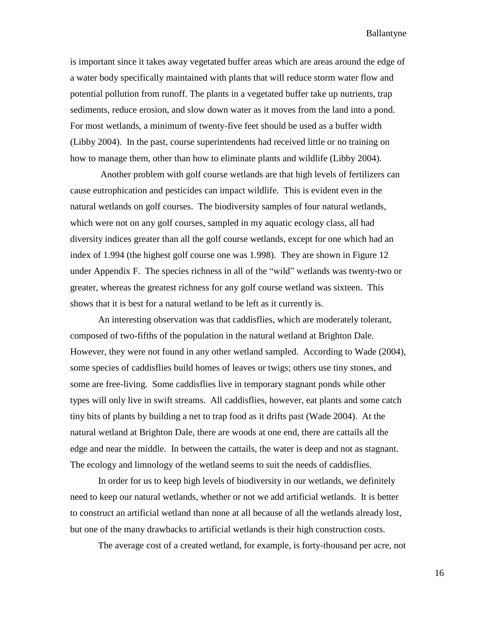is important since it takes away vegetated buffer areas which are areas around the edge of a water body specifically maintained with plants that will reduce storm water flow and potential pollution from runoff. The plants in a vegetated buffer take up nutrients, trap sediments, reduce erosion, and slow down water as it moves from the land into a pond. For most wetlands, a minimum of twenty-five feet should be used as a buffer width (Libby 2004). In the past, course superintendents had received little or no training on how to manage them, other than how to eliminate plants and wildlife (Libby 2004).

Another problem with golf course wetlands are that high levels of fertilizers can cause eutrophication and pesticides can impact wildlife. This is evident even in the natural wetlands on golf courses. The biodiversity samples of four natural wetlands, which were not on any golf courses, sampled in my aquatic ecology class, all had diversity indices greater than all the golf course wetlands, except for one which had an index of 1.994 (the highest golf course one was 1.998). They are shown in Figure 12 under Appendix F. The species richness in all of the "wild" wetlands was twenty-two or greater, whereas the greatest richness for any golf course wetland was sixteen. This shows that it is best for a natural wetland to be left as it currently is.

An interesting observation was that caddisflies, which are moderately tolerant, composed of two-fifths of the population in the natural wetland at Brighton Dale. However, they were not found in any other wetland sampled. According to Wade (2004), some species of caddisflies build homes of leaves or twigs; others use tiny stones, and some are free-living. Some caddisflies live in temporary stagnant ponds while other types will only live in swift streams. All caddisflies, however, eat plants and some catch tiny bits of plants by building a net to trap food as it drifts past (Wade 2004). At the natural wetland at Brighton Dale, there are woods at one end, there are cattails all the edge and near the middle. In between the cattails, the water is deep and not as stagnant. The ecology and limnology of the wetland seems to suit the needs of caddisflies.

In order for us to keep high levels of biodiversity in our wetlands, we definitely need to keep our natural wetlands, whether or not we add artificial wetlands. It is better to construct an artificial wetland than none at all because of all the wetlands already lost, but one of the many drawbacks to artificial wetlands is their high construction costs.

The average cost of a created wetland, for example, is forty-thousand per acre, not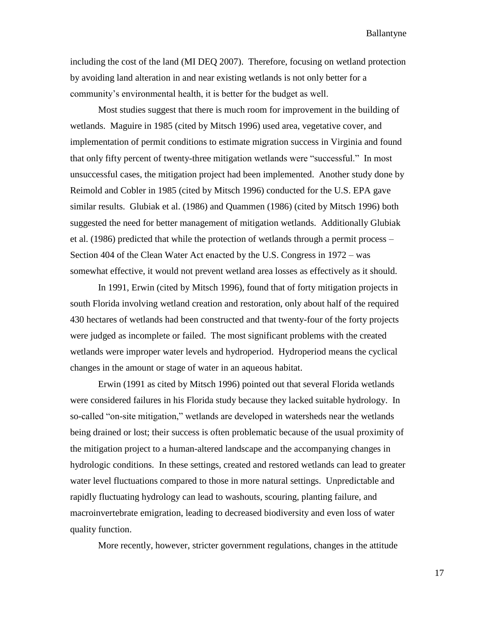including the cost of the land (MI DEQ 2007). Therefore, focusing on wetland protection by avoiding land alteration in and near existing wetlands is not only better for a community's environmental health, it is better for the budget as well.

Most studies suggest that there is much room for improvement in the building of wetlands. Maguire in 1985 (cited by Mitsch 1996) used area, vegetative cover, and implementation of permit conditions to estimate migration success in Virginia and found that only fifty percent of twenty-three mitigation wetlands were "successful." In most unsuccessful cases, the mitigation project had been implemented. Another study done by Reimold and Cobler in 1985 (cited by Mitsch 1996) conducted for the U.S. EPA gave similar results. Glubiak et al. (1986) and Quammen (1986) (cited by Mitsch 1996) both suggested the need for better management of mitigation wetlands. Additionally Glubiak et al. (1986) predicted that while the protection of wetlands through a permit process – Section 404 of the Clean Water Act enacted by the U.S. Congress in 1972 – was somewhat effective, it would not prevent wetland area losses as effectively as it should.

In 1991, Erwin (cited by Mitsch 1996), found that of forty mitigation projects in south Florida involving wetland creation and restoration, only about half of the required 430 hectares of wetlands had been constructed and that twenty-four of the forty projects were judged as incomplete or failed. The most significant problems with the created wetlands were improper water levels and hydroperiod. Hydroperiod means the cyclical changes in the amount or stage of water in an aqueous habitat.

Erwin (1991 as cited by Mitsch 1996) pointed out that several Florida wetlands were considered failures in his Florida study because they lacked suitable hydrology. In so-called "on-site mitigation," wetlands are developed in watersheds near the wetlands being drained or lost; their success is often problematic because of the usual proximity of the mitigation project to a human-altered landscape and the accompanying changes in hydrologic conditions. In these settings, created and restored wetlands can lead to greater water level fluctuations compared to those in more natural settings. Unpredictable and rapidly fluctuating hydrology can lead to washouts, scouring, planting failure, and macroinvertebrate emigration, leading to decreased biodiversity and even loss of water quality function.

More recently, however, stricter government regulations, changes in the attitude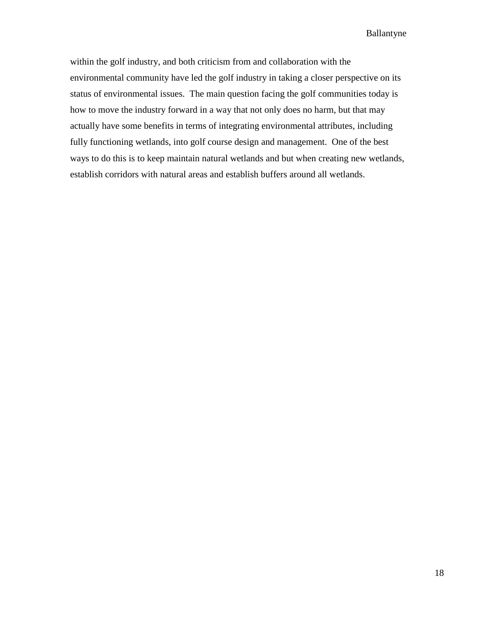within the golf industry, and both criticism from and collaboration with the environmental community have led the golf industry in taking a closer perspective on its status of environmental issues. The main question facing the golf communities today is how to move the industry forward in a way that not only does no harm, but that may actually have some benefits in terms of integrating environmental attributes, including fully functioning wetlands, into golf course design and management. One of the best ways to do this is to keep maintain natural wetlands and but when creating new wetlands, establish corridors with natural areas and establish buffers around all wetlands.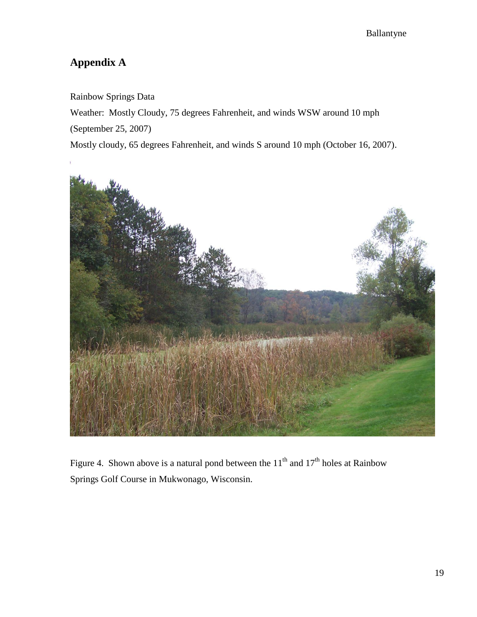## **Appendix A**

Rainbow Springs Data

Weather: Mostly Cloudy, 75 degrees Fahrenheit, and winds WSW around 10 mph

(September 25, 2007)

Mostly cloudy, 65 degrees Fahrenheit, and winds S around 10 mph (October 16, 2007).



Figure 4. Shown above is a natural pond between the  $11<sup>th</sup>$  and  $17<sup>th</sup>$  holes at Rainbow Springs Golf Course in Mukwonago, Wisconsin.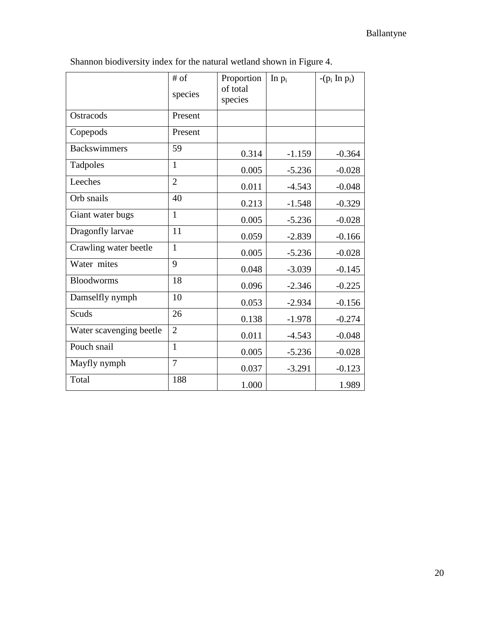|                         | $#$ of<br>species | Proportion<br>of total<br>species | In $p_i$ | $-(p_i \ln p_i)$ |
|-------------------------|-------------------|-----------------------------------|----------|------------------|
| Ostracods               | Present           |                                   |          |                  |
| Copepods                | Present           |                                   |          |                  |
| <b>Backswimmers</b>     | 59                | 0.314                             | $-1.159$ | $-0.364$         |
| Tadpoles                | $\mathbf{1}$      | 0.005                             | $-5.236$ | $-0.028$         |
| Leeches                 | $\overline{2}$    | 0.011                             | $-4.543$ | $-0.048$         |
| Orb snails              | 40                | 0.213                             | $-1.548$ | $-0.329$         |
| Giant water bugs        | $\mathbf{1}$      | 0.005                             | $-5.236$ | $-0.028$         |
| Dragonfly larvae        | 11                | 0.059                             | $-2.839$ | $-0.166$         |
| Crawling water beetle   | $\mathbf{1}$      | 0.005                             | $-5.236$ | $-0.028$         |
| Water mites             | 9                 | 0.048                             | $-3.039$ | $-0.145$         |
| <b>Bloodworms</b>       | 18                | 0.096                             | $-2.346$ | $-0.225$         |
| Damselfly nymph         | 10                | 0.053                             | $-2.934$ | $-0.156$         |
| Scuds                   | 26                | 0.138                             | $-1.978$ | $-0.274$         |
| Water scavenging beetle | $\overline{2}$    | 0.011                             | $-4.543$ | $-0.048$         |
| Pouch snail             | $\mathbf{1}$      | 0.005                             | $-5.236$ | $-0.028$         |
| Mayfly nymph            | $\overline{7}$    | 0.037                             | $-3.291$ | $-0.123$         |
| Total                   | 188               | 1.000                             |          | 1.989            |

Shannon biodiversity index for the natural wetland shown in Figure 4.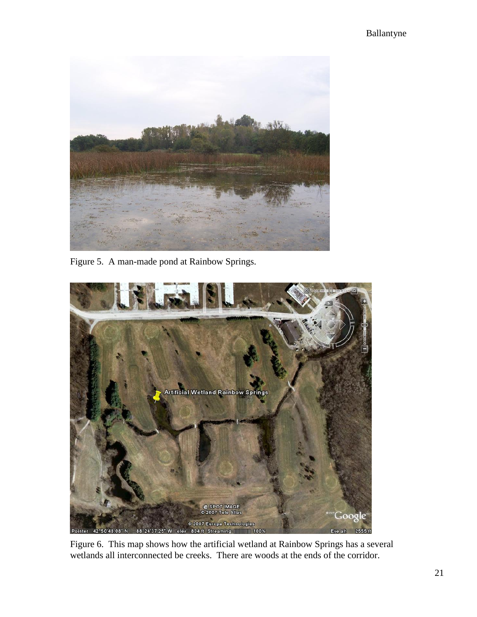

Figure 5. A man-made pond at Rainbow Springs.



Figure 6. This map shows how the artificial wetland at Rainbow Springs has a several wetlands all interconnected be creeks. There are woods at the ends of the corridor.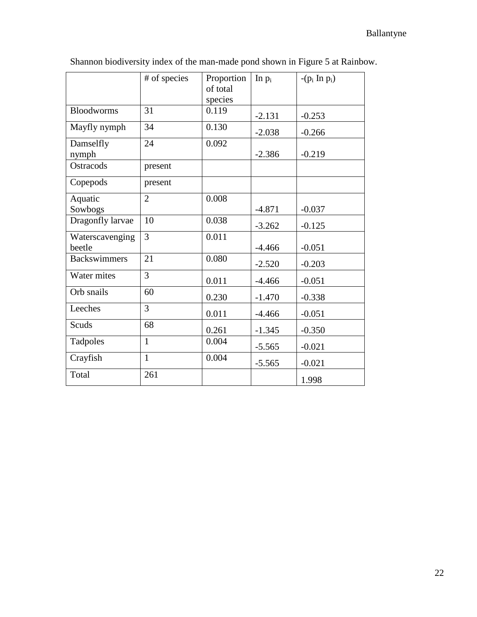|                     | # of species   | Proportion | In $p_i$ | $-(p_i \text{ In } p_i)$ |
|---------------------|----------------|------------|----------|--------------------------|
|                     |                | of total   |          |                          |
|                     |                | species    |          |                          |
| <b>Bloodworms</b>   | 31             | 0.119      | $-2.131$ | $-0.253$                 |
| Mayfly nymph        | 34             | 0.130      | $-2.038$ | $-0.266$                 |
| Damselfly           | 24             | 0.092      |          |                          |
| nymph               |                |            | $-2.386$ | $-0.219$                 |
| Ostracods           | present        |            |          |                          |
| Copepods            | present        |            |          |                          |
| Aquatic             | $\overline{2}$ | 0.008      |          |                          |
| Sowbogs             |                |            | $-4.871$ | $-0.037$                 |
| Dragonfly larvae    | 10             | 0.038      | $-3.262$ | $-0.125$                 |
| Waterscavenging     | 3              | 0.011      |          |                          |
| beetle              |                |            | $-4.466$ | $-0.051$                 |
| <b>Backswimmers</b> | 21             | 0.080      | $-2.520$ | $-0.203$                 |
| Water mites         | 3              | 0.011      | $-4.466$ | $-0.051$                 |
| Orb snails          | 60             | 0.230      | $-1.470$ | $-0.338$                 |
| Leeches             | 3              | 0.011      | $-4.466$ | $-0.051$                 |
| Scuds               | 68             | 0.261      | $-1.345$ | $-0.350$                 |
| Tadpoles            | 1              | 0.004      | $-5.565$ | $-0.021$                 |
| Crayfish            | $\mathbf{1}$   | 0.004      | $-5.565$ | $-0.021$                 |
| Total               | 261            |            |          | 1.998                    |

Shannon biodiversity index of the man-made pond shown in Figure 5 at Rainbow.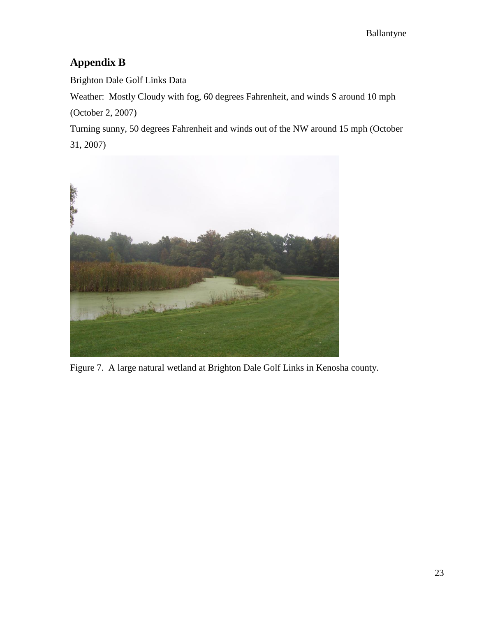### **Appendix B**

Brighton Dale Golf Links Data

Weather: Mostly Cloudy with fog, 60 degrees Fahrenheit, and winds S around 10 mph (October 2, 2007)

Turning sunny, 50 degrees Fahrenheit and winds out of the NW around 15 mph (October 31, 2007)



Figure 7. A large natural wetland at Brighton Dale Golf Links in Kenosha county.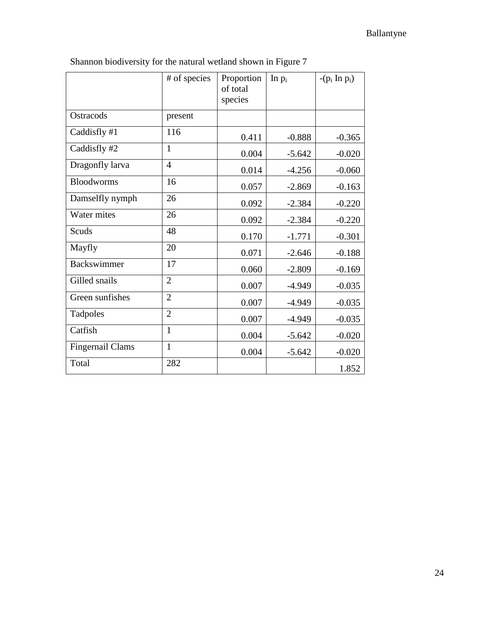|                         | # of species   | Proportion<br>of total<br>species | In $p_i$ | $-(p_i \ln p_i)$ |
|-------------------------|----------------|-----------------------------------|----------|------------------|
| Ostracods               | present        |                                   |          |                  |
| Caddisfly #1            | 116            | 0.411                             | $-0.888$ | $-0.365$         |
| Caddisfly #2            | 1              | 0.004                             | $-5.642$ | $-0.020$         |
| Dragonfly larva         | $\overline{4}$ | 0.014                             | $-4.256$ | $-0.060$         |
| <b>Bloodworms</b>       | 16             | 0.057                             | $-2.869$ | $-0.163$         |
| Damselfly nymph         | 26             | 0.092                             | $-2.384$ | $-0.220$         |
| Water mites             | 26             | 0.092                             | $-2.384$ | $-0.220$         |
| Scuds                   | 48             | 0.170                             | $-1.771$ | $-0.301$         |
| Mayfly                  | 20             | 0.071                             | $-2.646$ | $-0.188$         |
| <b>Backswimmer</b>      | 17             | 0.060                             | $-2.809$ | $-0.169$         |
| Gilled snails           | $\overline{2}$ | 0.007                             | $-4.949$ | $-0.035$         |
| Green sunfishes         | $\overline{2}$ | 0.007                             | $-4.949$ | $-0.035$         |
| Tadpoles                | $\overline{2}$ | 0.007                             | $-4.949$ | $-0.035$         |
| Catfish                 | $\mathbf{1}$   | 0.004                             | $-5.642$ | $-0.020$         |
| <b>Fingernail Clams</b> | $\mathbf{1}$   | 0.004                             | $-5.642$ | $-0.020$         |
| Total                   | 282            |                                   |          | 1.852            |

Shannon biodiversity for the natural wetland shown in Figure 7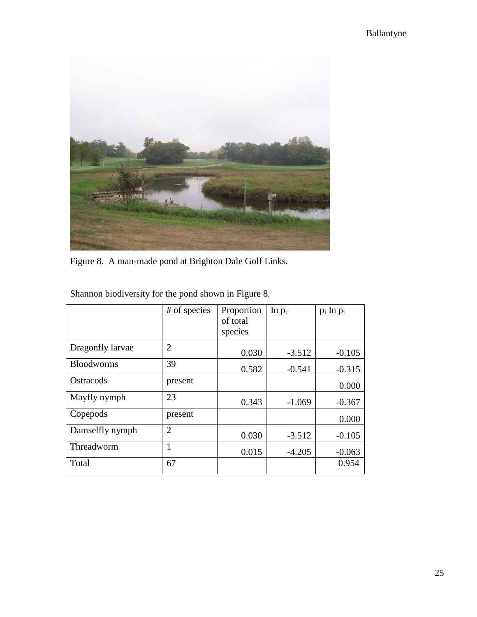

Figure 8. A man-made pond at Brighton Dale Golf Links.

|                   | # of species   | Proportion<br>of total<br>species | In $p_i$ | $p_i$ In $p_i$ |
|-------------------|----------------|-----------------------------------|----------|----------------|
| Dragonfly larvae  | $\overline{2}$ | 0.030                             | $-3.512$ | $-0.105$       |
| <b>Bloodworms</b> | 39             | 0.582                             | $-0.541$ | $-0.315$       |
| Ostracods         | present        |                                   |          | 0.000          |
| Mayfly nymph      | 23             | 0.343                             | $-1.069$ | $-0.367$       |
| Copepods          | present        |                                   |          | 0.000          |
| Damselfly nymph   | $\overline{2}$ | 0.030                             | $-3.512$ | $-0.105$       |
| Threadworm        |                | 0.015                             | $-4.205$ | $-0.063$       |
| Total             | 67             |                                   |          | 0.954          |

Shannon biodiversity for the pond shown in Figure 8.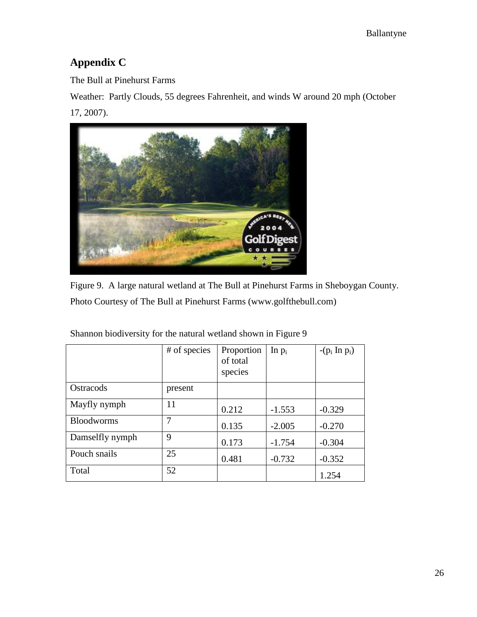## **Appendix C**

The Bull at Pinehurst Farms

Weather: Partly Clouds, 55 degrees Fahrenheit, and winds W around 20 mph (October 17, 2007).



Figure 9. A large natural wetland at The Bull at Pinehurst Farms in Sheboygan County. Photo Courtesy of The Bull at Pinehurst Farms (www.golfthebull.com)

|                   | # of species | Proportion<br>of total<br>species | In $p_i$ | $-(p_i \text{ In } p_i)$ |
|-------------------|--------------|-----------------------------------|----------|--------------------------|
| Ostracods         | present      |                                   |          |                          |
| Mayfly nymph      | 11           | 0.212                             | $-1.553$ | $-0.329$                 |
| <b>Bloodworms</b> | 7            | 0.135                             | $-2.005$ | $-0.270$                 |
| Damselfly nymph   | 9            | 0.173                             | $-1.754$ | $-0.304$                 |
| Pouch snails      | 25           | 0.481                             | $-0.732$ | $-0.352$                 |
| Total             | 52           |                                   |          | 1.254                    |

Shannon biodiversity for the natural wetland shown in Figure 9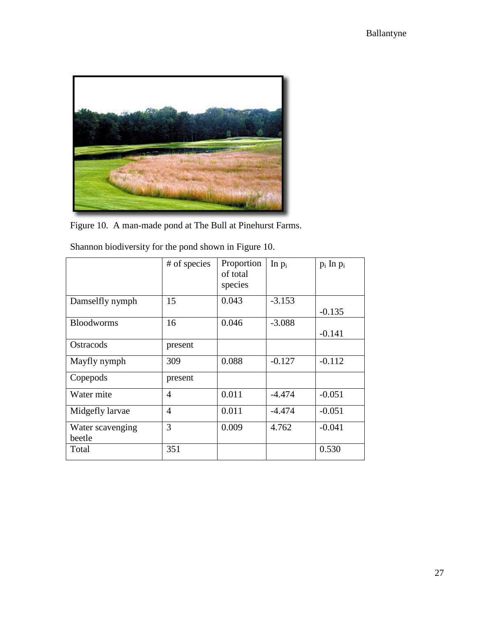

Figure 10. A man-made pond at The Bull at Pinehurst Farms.

|                            | # of species   | Proportion<br>of total<br>species | In $p_i$ | $p_i$ In $p_i$ |
|----------------------------|----------------|-----------------------------------|----------|----------------|
| Damselfly nymph            | 15             | 0.043                             | $-3.153$ | $-0.135$       |
| <b>Bloodworms</b>          | 16             | 0.046                             | $-3.088$ | $-0.141$       |
| Ostracods                  | present        |                                   |          |                |
| Mayfly nymph               | 309            | 0.088                             | $-0.127$ | $-0.112$       |
| Copepods                   | present        |                                   |          |                |
| Water mite                 | $\overline{4}$ | 0.011                             | $-4.474$ | $-0.051$       |
| Midgefly larvae            | $\overline{4}$ | 0.011                             | $-4.474$ | $-0.051$       |
| Water scavenging<br>beetle | 3              | 0.009                             | 4.762    | $-0.041$       |
| Total                      | 351            |                                   |          | 0.530          |

Shannon biodiversity for the pond shown in Figure 10.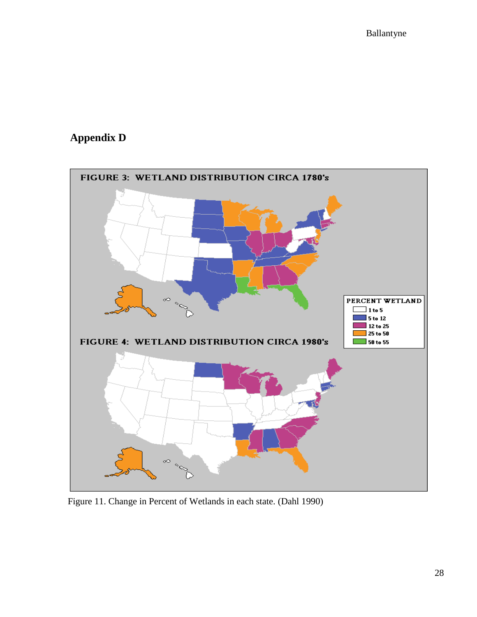## **Appendix D**



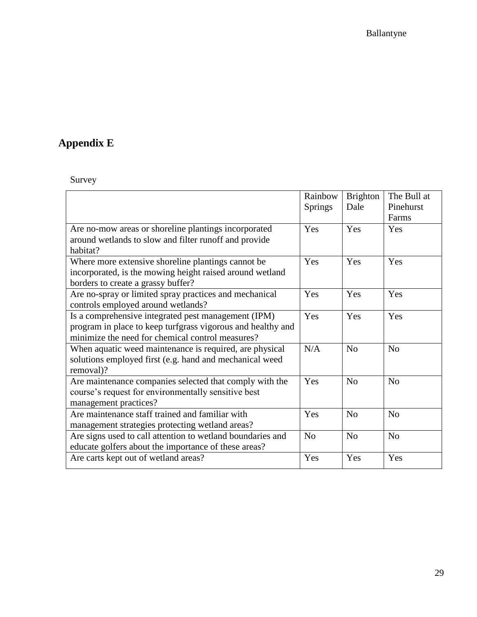## **Appendix E**

Survey

|                                                             | Rainbow        | Brighton       | The Bull at    |
|-------------------------------------------------------------|----------------|----------------|----------------|
|                                                             | <b>Springs</b> | Dale           | Pinehurst      |
|                                                             |                |                | Farms          |
| Are no-mow areas or shoreline plantings incorporated        | Yes            | Yes            | Yes            |
| around wetlands to slow and filter runoff and provide       |                |                |                |
| habitat?                                                    |                |                |                |
| Where more extensive shoreline plantings cannot be.         | Yes            | Yes            | Yes            |
| incorporated, is the mowing height raised around wetland    |                |                |                |
| borders to create a grassy buffer?                          |                |                |                |
| Are no-spray or limited spray practices and mechanical      | Yes            | Yes            | Yes            |
| controls employed around wetlands?                          |                |                |                |
| Is a comprehensive integrated pest management (IPM)         | Yes            | Yes            | Yes            |
| program in place to keep turfgrass vigorous and healthy and |                |                |                |
| minimize the need for chemical control measures?            |                |                |                |
| When aquatic weed maintenance is required, are physical     | N/A            | N <sub>o</sub> | N <sub>o</sub> |
| solutions employed first (e.g. hand and mechanical weed     |                |                |                |
| removal)?                                                   |                |                |                |
| Are maintenance companies selected that comply with the     | Yes            | N <sub>o</sub> | N <sub>0</sub> |
| course's request for environmentally sensitive best         |                |                |                |
| management practices?                                       |                |                |                |
| Are maintenance staff trained and familiar with             | Yes            | N <sub>o</sub> | N <sub>o</sub> |
| management strategies protecting wetland areas?             |                |                |                |
| Are signs used to call attention to wetland boundaries and  | N <sub>o</sub> | N <sub>o</sub> | N <sub>o</sub> |
| educate golfers about the importance of these areas?        |                |                |                |
| Are carts kept out of wetland areas?                        | Yes            | Yes            | Yes            |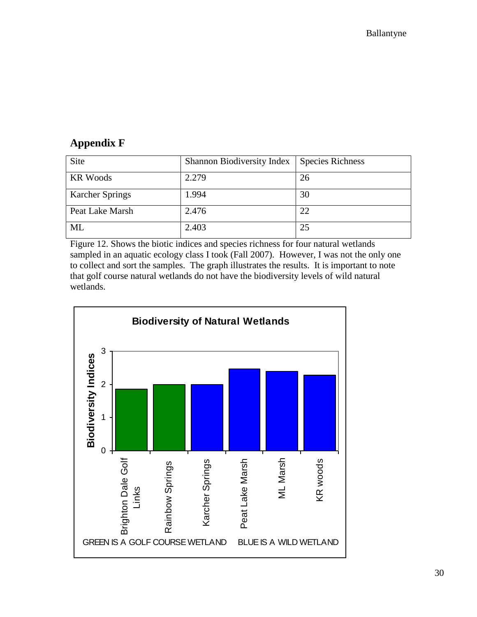### **Appendix F**

| Site                   | Shannon Biodiversity Index | <b>Species Richness</b> |
|------------------------|----------------------------|-------------------------|
| <b>KR Woods</b>        | 2.279                      | 26                      |
| <b>Karcher Springs</b> | 1.994                      | 30                      |
| Peat Lake Marsh        | 2.476                      | 22                      |
| ML                     | 2.403                      | 25                      |

Figure 12. Shows the biotic indices and species richness for four natural wetlands sampled in an aquatic ecology class I took (Fall 2007). However, I was not the only one to collect and sort the samples. The graph illustrates the results. It is important to note that golf course natural wetlands do not have the biodiversity levels of wild natural wetlands.

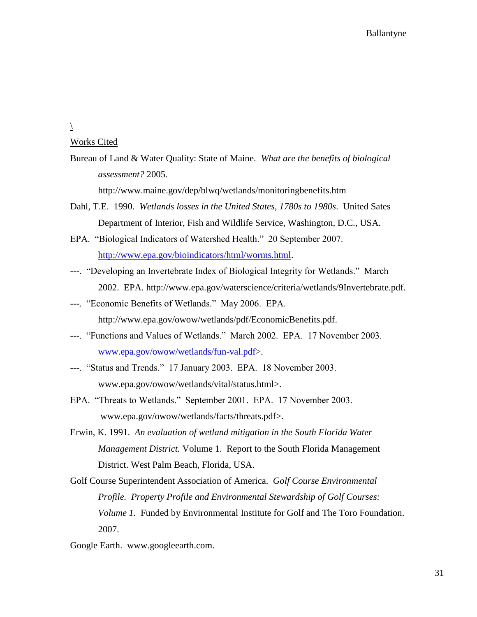$\overline{1}$ 

#### Works Cited

Bureau of Land & Water Quality: State of Maine. *What are the benefits of biological assessment?* 2005.

http://www.maine.gov/dep/blwq/wetlands/monitoringbenefits.htm

- Dahl, T.E. 1990. *Wetlands losses in the United States, 1780s to 1980s*. United Sates Department of Interior, Fish and Wildlife Service, Washington, D.C., USA.
- EPA. "Biological Indicators of Watershed Health." 20 September 2007. [http://www.epa.gov/bioindicators/html/worms.html.](http://www.epa.gov/bioindicators/html/worms.html)
- ---. "Developing an Invertebrate Index of Biological Integrity for Wetlands." March 2002. EPA. http://www.epa.gov/waterscience/criteria/wetlands/9Invertebrate.pdf.
- ---. "Economic Benefits of Wetlands." May 2006. EPA. http://www.epa.gov/owow/wetlands/pdf/EconomicBenefits.pdf.
- ---. "Functions and Values of Wetlands." March 2002. EPA. 17 November 2003. [www.epa.gov/owow/wetlands/fun-val.pdf>](http://www.epa.gov/owow/wetlands/fun-val.pdf).
- ---. "Status and Trends." 17 January 2003. EPA. 18 November 2003. www.epa.gov/owow/wetlands/vital/status.html>.
- EPA. "Threats to Wetlands." September 2001. EPA. 17 November 2003. www.epa.gov/owow/wetlands/facts/threats.pdf>.
- Erwin, K. 1991. *An evaluation of wetland mitigation in the South Florida Water Management District.* Volume 1. Report to the South Florida Management District. West Palm Beach, Florida, USA.
- Golf Course Superintendent Association of America. *Golf Course Environmental Profile. Property Profile and Environmental Stewardship of Golf Courses: Volume 1.* Funded by Environmental Institute for Golf and The Toro Foundation. 2007.

Google Earth. www.googleearth.com.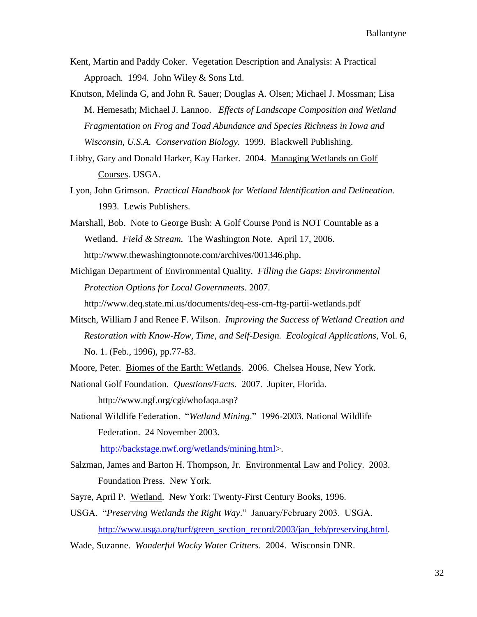- Kent, Martin and Paddy Coker. Vegetation Description and Analysis: A Practical Approach*.* 1994. John Wiley & Sons Ltd.
- Knutson, Melinda G, and John R. Sauer; Douglas A. Olsen; Michael J. Mossman; Lisa M. Hemesath; Michael J. Lannoo. *Effects of Landscape Composition and Wetland Fragmentation on Frog and Toad Abundance and Species Richness in Iowa and Wisconsin, U.S.A. Conservation Biology.* 1999. Blackwell Publishing.
- Libby, Gary and Donald Harker, Kay Harker. 2004. Managing Wetlands on Golf Courses. USGA.
- Lyon, John Grimson. *Practical Handbook for Wetland Identification and Delineation.* 1993. Lewis Publishers.
- Marshall, Bob. Note to George Bush: A Golf Course Pond is NOT Countable as a Wetland. *Field & Stream.* The Washington Note. April 17, 2006. http://www.thewashingtonnote.com/archives/001346.php.
- Michigan Department of Environmental Quality. *Filling the Gaps: Environmental Protection Options for Local Governments.* 2007.

http://www.deq.state.mi.us/documents/deq-ess-cm-ftg-partii-wetlands.pdf

- Mitsch, William J and Renee F. Wilson. *Improving the Success of Wetland Creation and Restoration with Know-How, Time, and Self-Design. Ecological Applications,* Vol. 6, No. 1. (Feb., 1996), pp.77-83.
- Moore, Peter. Biomes of the Earth: Wetlands. 2006. Chelsea House, New York.
- National Golf Foundation. *Questions/Facts*. 2007. Jupiter, Florida. http://www.ngf.org/cgi/whofaqa.asp?
- National Wildlife Federation. "*Wetland Mining*." 1996-2003. National Wildlife Federation. 24 November 2003.

[http://backstage.nwf.org/wetlands/mining.html>](http://backstage.nwf.org/wetlands/mining.html).

- Salzman, James and Barton H. Thompson, Jr. Environmental Law and Policy. 2003. Foundation Press. New York.
- Sayre, April P. Wetland. New York: Twenty-First Century Books, 1996.
- USGA. "*Preserving Wetlands the Right Way*." January/February 2003. USGA. [http://www.usga.org/turf/green\\_section\\_record/2003/jan\\_feb/preserving.html.](http://www.usga.org/turf/green_section_record/2003/jan_feb/preserving.html)
- Wade, Suzanne. *Wonderful Wacky Water Critters*. 2004. Wisconsin DNR.